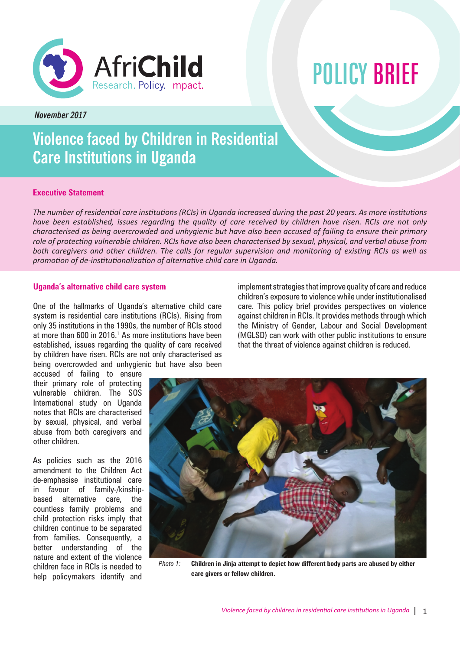

# POLICY BRIEF

*November 2017*

# **Violence faced by Children in Residential Care Institutions in Uganda**

# **Executive Statement**

*The number of residential care institutions (RCIs) in Uganda increased during the past 20 years. As more institutions have been established, issues regarding the quality of care received by children have risen. RCIs are not only characterised as being overcrowded and unhygienic but have also been accused of failing to ensure their primary role of protecting vulnerable children. RCIs have also been characterised by sexual, physical, and verbal abuse from both caregivers and other children. The calls for regular supervision and monitoring of existing RCIs as well as promotion of de-institutionalization of alternative child care in Uganda.* 

# **Uganda's alternative child care system**

One of the hallmarks of Uganda's alternative child care system is residential care institutions (RCIs). Rising from only 35 institutions in the 1990s, the number of RCIs stood at more than 600 in 2016.<sup>1</sup> As more institutions have been established, issues regarding the quality of care received by children have risen. RCIs are not only characterised as being overcrowded and unhygienic but have also been

implement strategies that improve quality of care and reduce children's exposure to violence while under institutionalised care. This policy brief provides perspectives on violence against children in RCIs. It provides methods through which the Ministry of Gender, Labour and Social Development (MGLSD) can work with other public institutions to ensure that the threat of violence against children is reduced.

accused of failing to ensure their primary role of protecting vulnerable children. The SOS International study on Uganda notes that RCIs are characterised by sexual, physical, and verbal abuse from both caregivers and other children.

As policies such as the 2016 amendment to the Children Act de-emphasise institutional care in favour of family-/kinshipbased alternative care, the countless family problems and child protection risks imply that children continue to be separated from families. Consequently, a better understanding of the nature and extent of the violence children face in RCIs is needed to help policymakers identify and



*Photo 1:* **Children in Jinja attempt to depict how different body parts are abused by either care givers or fellow children.**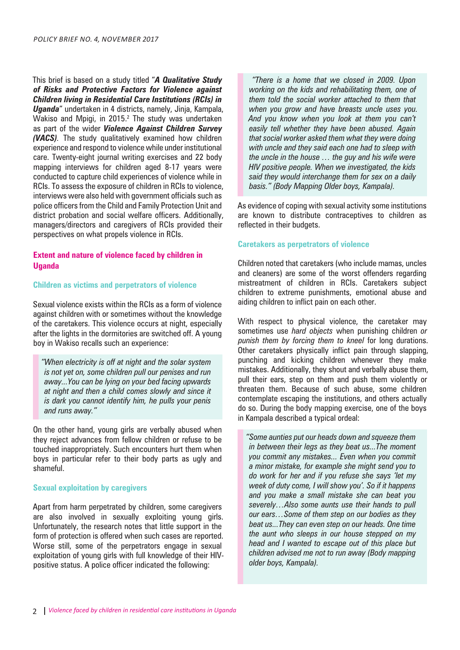This brief is based on a study titled "*A Qualitative Study of Risks and Protective Factors for Violence against Children living in Residential Care Institutions (RCIs) in Uganda*" undertaken in 4 districts, namely, Jinja, Kampala, Wakiso and Mpigi, in 2015.<sup>2</sup> The study was undertaken as part of the wider *Violence Against Children Survey (VACS).* The study qualitatively examined how children experience and respond to violence while under institutional care. Twenty-eight journal writing exercises and 22 body mapping interviews for children aged 8-17 years were conducted to capture child experiences of violence while in RCIs. To assess the exposure of children in RCIs to violence, interviews were also held with government officials such as police officers from the Child and Family Protection Unit and district probation and social welfare officers. Additionally, managers/directors and caregivers of RCIs provided their perspectives on what propels violence in RCIs.

# **Extent and nature of violence faced by children in Uganda**

## **Children as victims and perpetrators of violence**

Sexual violence exists within the RCIs as a form of violence against children with or sometimes without the knowledge of the caretakers. This violence occurs at night, especially after the lights in the dormitories are switched off. A young boy in Wakiso recalls such an experience:

*"When electricity is off at night and the solar system is not yet on, some children pull our penises and run away...You can be lying on your bed facing upwards at night and then a child comes slowly and since it is dark you cannot identify him, he pulls your penis and runs away."*

On the other hand, young girls are verbally abused when they reject advances from fellow children or refuse to be touched inappropriately. Such encounters hurt them when boys in particular refer to their body parts as ugly and shameful.

# **Sexual exploitation by caregivers**

Apart from harm perpetrated by children, some caregivers are also involved in sexually exploiting young girls. Unfortunately, the research notes that little support in the form of protection is offered when such cases are reported. Worse still, some of the perpetrators engage in sexual exploitation of young girls with full knowledge of their HIVpositive status. A police officer indicated the following:

*"There is a home that we closed in 2009. Upon working on the kids and rehabilitating them, one of them told the social worker attached to them that when you grow and have breasts uncle uses you. And you know when you look at them you can't easily tell whether they have been abused. Again that social worker asked them what they were doing with uncle and they said each one had to sleep with the uncle in the house … the guy and his wife were HIV positive people. When we investigated, the kids said they would interchange them for sex on a daily basis." (Body Mapping Older boys, Kampala).*

As evidence of coping with sexual activity some institutions are known to distribute contraceptives to children as reflected in their budgets.

#### **Caretakers as perpetrators of violence**

Children noted that caretakers (who include mamas, uncles and cleaners) are some of the worst offenders regarding mistreatment of children in RCIs. Caretakers subject children to extreme punishments, emotional abuse and aiding children to inflict pain on each other.

With respect to physical violence, the caretaker may sometimes use *hard objects* when punishing children *or punish them by forcing them to kneel* for long durations. Other caretakers physically inflict pain through slapping, punching and kicking children whenever they make mistakes. Additionally, they shout and verbally abuse them, pull their ears, step on them and push them violently or threaten them. Because of such abuse, some children contemplate escaping the institutions, and others actually do so. During the body mapping exercise, one of the boys in Kampala described a typical ordeal:

*"Some aunties put our heads down and squeeze them in between their legs as they beat us...The moment you commit any mistakes... Even when you commit a minor mistake, for example she might send you to do work for her and if you refuse she says 'let my week of duty come, I will show you'. So if it happens and you make a small mistake she can beat you severely…Also some aunts use their hands to pull our ears…Some of them step on our bodies as they beat us...They can even step on our heads. One time the aunt who sleeps in our house stepped on my head and I wanted to escape out of this place but children advised me not to run away (Body mapping older boys, Kampala).*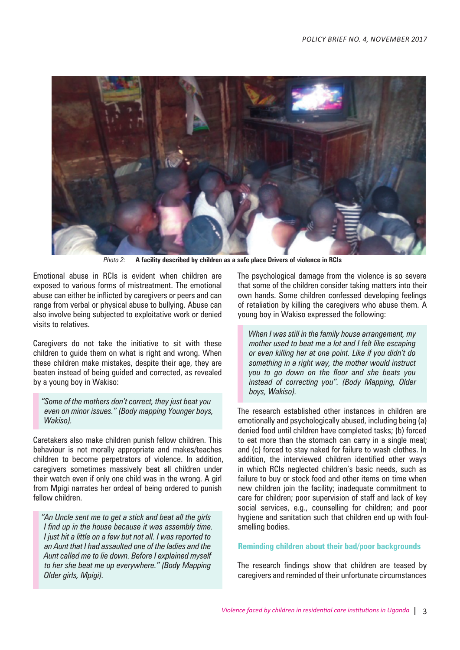

*Photo 2:* **A facility described by children as a safe place Drivers of violence in RCIs**

Emotional abuse in RCIs is evident when children are exposed to various forms of mistreatment. The emotional abuse can either be inflicted by caregivers or peers and can range from verbal or physical abuse to bullying. Abuse can also involve being subjected to exploitative work or denied visits to relatives.

Caregivers do not take the initiative to sit with these children to guide them on what is right and wrong. When these children make mistakes, despite their age, they are beaten instead of being guided and corrected, as revealed by a young boy in Wakiso:

*"Some of the mothers don't correct, they just beat you even on minor issues." (Body mapping Younger boys, Wakiso).*

Caretakers also make children punish fellow children. This behaviour is not morally appropriate and makes/teaches children to become perpetrators of violence. In addition, caregivers sometimes massively beat all children under their watch even if only one child was in the wrong. A girl from Mpigi narrates her ordeal of being ordered to punish fellow children.

*"An Uncle sent me to get a stick and beat all the girls I find up in the house because it was assembly time. I just hit a little on a few but not all. I was reported to an Aunt that I had assaulted one of the ladies and the Aunt called me to lie down. Before I explained myself to her she beat me up everywhere." (Body Mapping Older girls, Mpigi).*

The psychological damage from the violence is so severe that some of the children consider taking matters into their own hands. Some children confessed developing feelings of retaliation by killing the caregivers who abuse them. A young boy in Wakiso expressed the following:

*When I was still in the family house arrangement, my mother used to beat me a lot and I felt like escaping or even killing her at one point. Like if you didn't do something in a right way, the mother would instruct you to go down on the floor and she beats you instead of correcting you". (Body Mapping, Older boys, Wakiso).*

The research established other instances in children are emotionally and psychologically abused, including being (a) denied food until children have completed tasks; (b) forced to eat more than the stomach can carry in a single meal; and (c) forced to stay naked for failure to wash clothes. In addition, the interviewed children identified other ways in which RCIs neglected children's basic needs, such as failure to buy or stock food and other items on time when new children join the facility; inadequate commitment to care for children; poor supervision of staff and lack of key social services, e.g., counselling for children; and poor hygiene and sanitation such that children end up with foulsmelling bodies.

#### **Reminding children about their bad/poor backgrounds**

The research findings show that children are teased by caregivers and reminded of their unfortunate circumstances